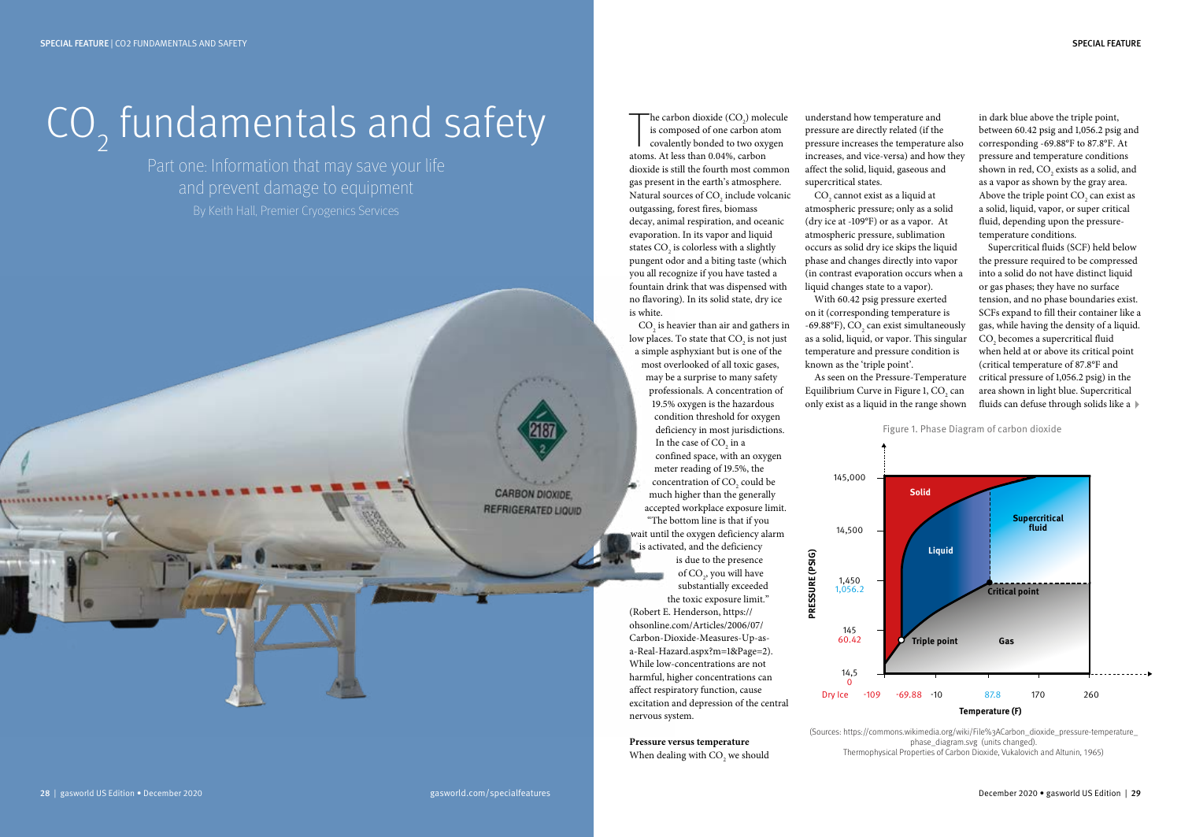# $CO_{2}$  fundamentals and safety

Part one: Information that may save your life and prevent damage to equipment

> **CARBON DIOXIDE REFRIGERATED LIQUID**

The carbon dioxide  $(CO_2)$  mol<br>is composed of one carbon at<br>covalently bonded to two oxy<br>atoms. At less than 0.04%, carbon he carbon dioxide  $(CO_2)$  molecule is composed of one carbon atom covalently bonded to two oxygen dioxide is still the fourth most common gas present in the earth's atmosphere. Natural sources of  $\mathrm{CO}_2$  include volcanic outgassing, forest fires, biomass decay, animal respiration, and oceanic evaporation. In its vapor and liquid states  $CO_2$  is colorless with a slightly pungent odor and a biting taste (which you all recognize if you have tasted a fountain drink that was dispensed with no flavoring). In its solid state, dry ice is white.

 $\text{CO}_2$  is heavier than air and gathers in low places. To state that  $\mathrm{CO}_2$  is not just a simple asphyxiant but is one of the most overlooked of all toxic gases, may be a surprise to many safety professionals. A concentration of 19.5% oxygen is the hazardous condition threshold for oxygen deficiency in most jurisdictions. In the case of  $CO<sub>2</sub>$  in a confined space, with an oxygen meter reading of 19.5%, the concentration of  $CO<sub>2</sub>$  could be much higher than the generally accepted workplace exposure limit. "The bottom line is that if you wait until the oxygen deficiency alarm is activated, and the deficiency is due to the presence of  $CO<sub>2</sub>$ , you will have substantially exceeded the toxic exposure limit." (Robert E. Henderson, https:// ohsonline.com/Articles/2006/07/ Carbon-Dioxide-Measures-Up-asa-Real-Hazard.aspx?m=1&Page=2). While low-concentrations are not harmful, higher concentrations can affect respiratory function, cause excitation and depression of the central nervous system.

**Pressure versus temperature**  When dealing with  $\mathrm{CO}_2$  we should

understand how temperature and pressure are directly related (if the pressure increases the temperature also increases, and vice-versa) and how they affect the solid, liquid, gaseous and supercritical states.

 $\mathrm{CO}_2$  cannot exist as a liquid at atmospheric pressure; only as a solid (dry ice at -109°F) or as a vapor. At atmospheric pressure, sublimation occurs as solid dry ice skips the liquid phase and changes directly into vapor (in contrast evaporation occurs when a liquid changes state to a vapor). With 60.42 psig pressure exerted

on it (corresponding temperature is  $-69.88^{\circ}$ F), CO<sub>2</sub> can exist simultaneously as a solid, liquid, or vapor. This singular temperature and pressure condition is known as the 'triple point'.

As seen on the Pressure-Temperature Equilibrium Curve in Figure 1,  $CO<sub>2</sub>$  can only exist as a liquid in the range shown

in dark blue above the triple point, between 60.42 psig and 1,056.2 psig and corresponding -69.88°F to 87.8°F. At pressure and temperature conditions shown in red,  $\text{CO}_2$  exists as a solid, and as a vapor as shown by the gray area. Above the triple point  $CO<sub>2</sub>$  can exist as a solid, liquid, vapor, or super critical fluid, depending upon the pressuretemperature conditions.

Supercritical fluids (SCF) held below the pressure required to be compressed into a solid do not have distinct liquid or gas phases; they have no surface tension, and no phase boundaries exist. SCFs expand to fill their container like a gas, while having the density of a liquid.  $CO<sub>2</sub>$  becomes a supercritical fluid when held at or above its critical point (critical temperature of 87.8°F and critical pressure of 1,056.2 psig) in the area shown in light blue. Supercritical fluids can defuse through solids like a  $\blacktriangleright$ 



(Sources: https://commons.wikimedia.org/wiki/File%3ACarbon\_dioxide\_pressure-temperature\_ phase\_diagram.svg (units changed). Thermophysical Properties of Carbon Dioxide, Vukalovich and Altunin, 1965)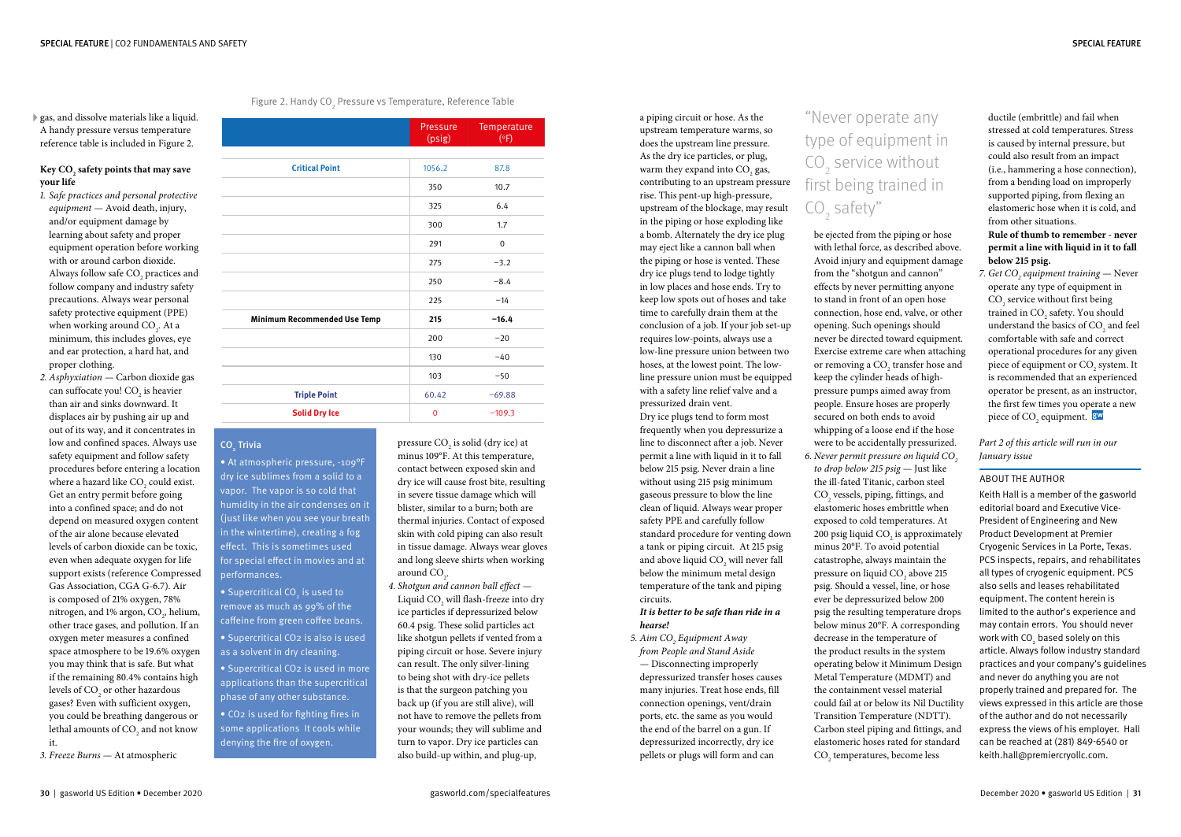gas, and dissolve materials like a liquid. A handy pressure versus temperature reference table is included in Figure 2.

#### **Key CO2 safety points that may save your life**

- *1. Safe practices and personal protective equipment —* Avoid death, injury, and/or equipment damage by learning about safety and proper equipment operation before working with or around carbon dioxide. Always follow safe  $\mathrm{CO}_2$  practices and follow company and industry safety precautions. Always wear personal safety protective equipment (PPE) when working around  $CO<sub>2</sub>$ . At a minimum, this includes gloves, eye and ear protection, a hard hat, and proper clothing.
- *2. Asphyxiation —* Carbon dioxide gas can suffocate you!  $CO<sub>2</sub>$  is heavier than air and sinks downward. It displaces air by pushing air up and out of its way, and it concentrates in low and confined spaces. Always use safety equipment and follow safety procedures before entering a location where a hazard like  $\mathrm{CO}_2^{}$  could exist. Get an entry permit before going into a confined space; and do not depend on measured oxygen content of the air alone because elevated levels of carbon dioxide can be toxic, even when adequate oxygen for life support exists (reference Compressed Gas Association, CGA G-6.7). Air is composed of 21% oxygen, 78% nitrogen, and 1% argon,  $CO_{2}$ , helium, other trace gases, and pollution. If an oxygen meter measures a confined space atmosphere to be 19.6% oxygen you may think that is safe. But what if the remaining 80.4% contains high levels of  $\mathrm{CO}_2^{\phantom{\dag}}$  or other hazardous gases? Even with sufficient oxygen, you could be breathing dangerous or lethal amounts of  $\mathrm{CO}_\mathrm{2}$  and not know it.
- *3. Freeze Burns —* At atmospheric

Figure 2. Handy CO $_{\tiny 2}$  Pressure vs Temperature, Reference Table

|                                     | Pressure<br>(psig) | Temperature<br>(°F) |
|-------------------------------------|--------------------|---------------------|
|                                     |                    |                     |
| <b>Critical Point</b>               | 1056.2             | 87.8                |
|                                     | 350                | 10.7                |
|                                     | 325                | 6.4                 |
|                                     | 300                | 1.7                 |
|                                     | 291                | $\mathbf 0$         |
|                                     | 275                | $-3.2$              |
|                                     | 250                | $-8.4$              |
|                                     | 225                | $-14$               |
| <b>Minimum Recommended Use Temp</b> | 215                | $-16.4$             |
|                                     | 200                | $-20$               |
|                                     | 130                | $-40$               |
|                                     | 103                | $-50$               |
| <b>Triple Point</b>                 | 60.42              | $-69.88$            |
| <b>Solid Dry Ice</b>                | $\overline{0}$     | $-109.3$            |

### CO<sub>2</sub> Trivia

• At atmospheric pressure, -109°F dry ice sublimes from a solid to a vapor. The vapor is so cold that humidity in the air condenses on it (just like when you see your breath in the wintertime), creating a fog effect. This is sometimes used for special effect in movies and at performances.

 $\bullet$  Supercritical CO<sub>2</sub> is used to remove as much as 99% of the caffeine from green coffee beans. • Supercritical CO2 is also is used as a solvent in dry cleaning. • Supercritical CO2 is used in more applications than the supercritical phase of any other substance.

• CO2 is used for fighting fires in some applications It cools while denying the fire of oxygen.

pressure  $CO<sub>2</sub>$  is solid (dry ice) at minus 109°F. At this temperature, contact between exposed skin and dry ice will cause frost bite, resulting in severe tissue damage which will blister, similar to a burn; both are thermal injuries. Contact of exposed skin with cold piping can also result in tissue damage. Always wear gloves and long sleeve shirts when working around  $CO<sub>2</sub>$ .

*4. Shotgun and cannon ball effect —* Liquid  $\mathrm{CO}_2^{}$  will flash-freeze into dry ice particles if depressurized below 60.4 psig. These solid particles act like shotgun pellets if vented from a piping circuit or hose. Severe injury can result. The only silver-lining to being shot with dry-ice pellets is that the surgeon patching you back up (if you are still alive), will not have to remove the pellets from your wounds; they will sublime and turn to vapor. Dry ice particles can also build-up within, and plug-up,

a piping circuit or hose. As the upstream temperature warms, so does the upstream line pressure. As the dry ice particles, or plug, warm they expand into  $CO<sub>2</sub>$  gas, contributing to an upstream pressure rise. This pent-up high-pressure, upstream of the blockage, may result in the piping or hose exploding like a bomb. Alternately the dry ice plug may eject like a cannon ball when the piping or hose is vented. These dry ice plugs tend to lodge tightly in low places and hose ends. Try to keep low spots out of hoses and take time to carefully drain them at the conclusion of a job. If your job set-up requires low-points, always use a low-line pressure union between two hoses, at the lowest point. The lowline pressure union must be equipped with a safety line relief valve and a pressurized drain vent. Dry ice plugs tend to form most

frequently when you depressurize a line to disconnect after a job. Never permit a line with liquid in it to fall below 215 psig. Never drain a line without using 215 psig minimum gaseous pressure to blow the line clean of liquid. Always wear proper safety PPE and carefully follow standard procedure for venting down a tank or piping circuit. At 215 psig and above liquid  $CO<sub>2</sub>$  will never fall below the minimum metal design temperature of the tank and piping circuits.

#### *It is better to be safe than ride in a hearse!*

*5. Aim CO2 Equipment Away from People and Stand Aside —* Disconnecting improperly depressurized transfer hoses causes many injuries. Treat hose ends, fill connection openings, vent/drain ports, etc. the same as you would the end of the barrel on a gun. If depressurized incorrectly, dry ice pellets or plugs will form and can

## "Never operate any type of equipment in  $CO<sub>2</sub>$  service without first being trained in  $CO<sub>2</sub>$  safety"

be ejected from the piping or hose with lethal force, as described above. Avoid injury and equipment damage from the "shotgun and cannon" effects by never permitting anyone to stand in front of an open hose connection, hose end, valve, or other opening. Such openings should never be directed toward equipment. Exercise extreme care when attaching or removing a  $CO<sub>2</sub>$  transfer hose and keep the cylinder heads of highpressure pumps aimed away from people. Ensure hoses are properly secured on both ends to avoid whipping of a loose end if the hose were to be accidentally pressurized. 6. Never permit pressure on liquid CO<sub>2</sub>

*to drop below 215 psig —* Just like the ill-fated Titanic, carbon steel  $\mathrm{CO}_\mathrm{2}$  vessels, piping, fittings, and elastomeric hoses embrittle when exposed to cold temperatures. At 200 psig liquid  $CO<sub>2</sub>$  is approximately minus 20°F. To avoid potential catastrophe, always maintain the pressure on liquid  $CO<sub>2</sub>$  above 215 psig. Should a vessel, line, or hose ever be depressurized below 200 psig the resulting temperature drops below minus 20°F. A corresponding decrease in the temperature of the product results in the system operating below it Minimum Design Metal Temperature (MDMT) and the containment vessel material could fail at or below its Nil Ductility Transition Temperature (NDTT). Carbon steel piping and fittings, and elastomeric hoses rated for standard  $CO<sub>2</sub>$  temperatures, become less

ductile (embrittle) and fail when stressed at cold temperatures. Stress is caused by internal pressure, but could also result from an impact (i.e., hammering a hose connection), from a bending load on improperly supported piping, from flexing an elastomeric hose when it is cold, and from other situations. **Rule of thumb to remember - never** 

### **permit a line with liquid in it to fall below 215 psig.**

*7. Get* CO<sub>2</sub> equipment training — Never operate any type of equipment in  $\mathrm{CO}_2$  service without first being trained in  $\text{CO}_2$  safety. You should understand the basics of  $CO<sub>2</sub>$  and feel comfortable with safe and correct operational procedures for any given piece of equipment or CO<sub>2</sub> system. It is recommended that an experienced operator be present, as an instructor, the first few times you operate a new piece of CO<sub>2</sub> equipment. <mark>gw</mark>

#### *Part 2 of this article will run in our January issue*

#### ABOUT THE AUTHOR

Keith Hall is a member of the gasworld editorial board and Executive Vice-President of Engineering and New Product Development at Premier Cryogenic Services in La Porte, Texas. PCS inspects, repairs, and rehabilitates all types of cryogenic equipment. PCS also sells and leases rehabilitated equipment. The content herein is limited to the author's experience and may contain errors. You should never work with CO $_{_2}$  based solely on this article. Always follow industry standard practices and your company's guidelines and never do anything you are not properly trained and prepared for. The views expressed in this article are those of the author and do not necessarily express the views of his employer. Hall can be reached at (281) 849-6540 or keith.hall@premiercryollc.com.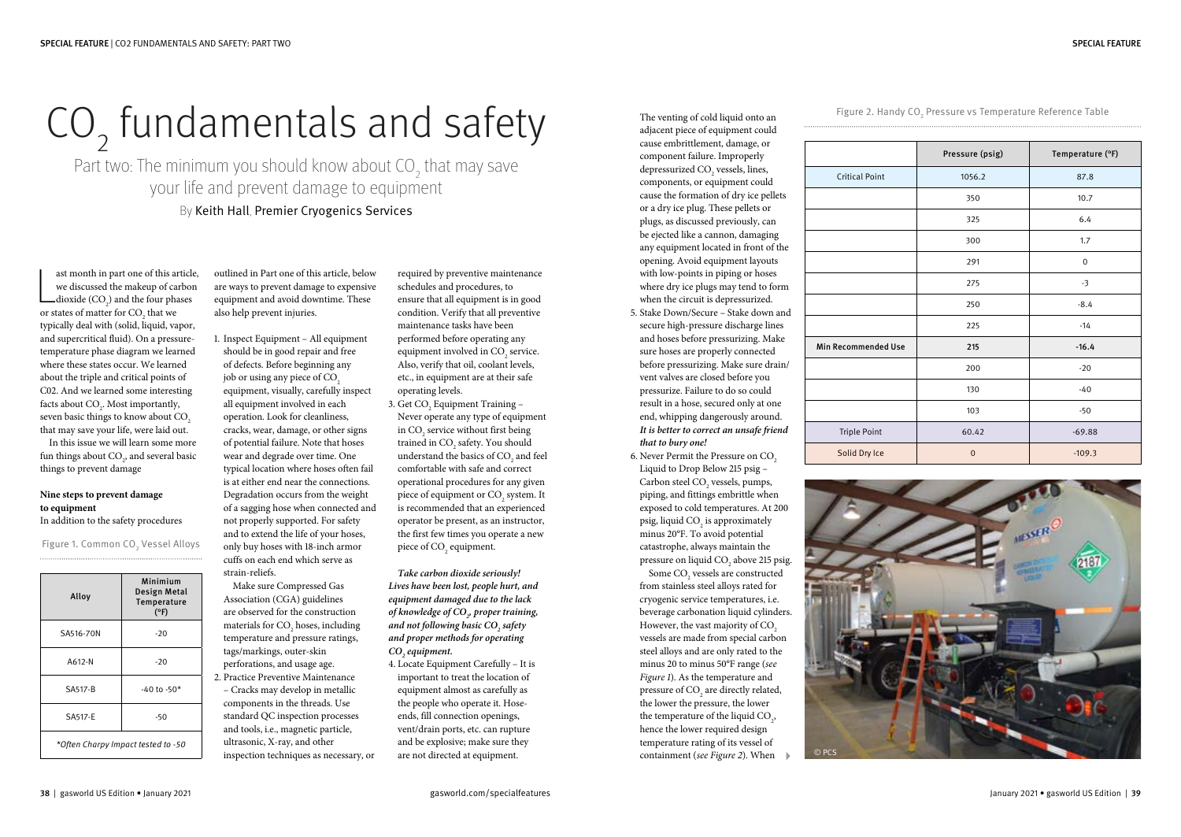# $CO<sub>2</sub>$  fundamentals and safety

Part two: The minimum you should know about  $\mathrm{CO}_2^{}$  that may save your life and prevent damage to equipment By Keith Hall, Premier Cryogenics Services

ast month in part one of this and<br>we discussed the makeup of candioxide (CO<sub>2</sub>) and the four phanel or states of matter for CO<sub>2</sub> that we ast month in part one of this article, we discussed the makeup of carbon dioxide  $(CO_2)$  and the four phases typically deal with (solid, liquid, vapor, and supercritical fluid). On a pressuretemperature phase diagram we learned where these states occur. We learned about the triple and critical points of C02. And we learned some interesting facts about  $\text{CO}_2$ . Most importantly, seven basic things to know about CO<sub>2</sub> that may save your life, were laid out.

In this issue we will learn some more fun things about  $\mathrm{CO}_2^{}$ , and several basic things to prevent damage

#### **Nine steps to prevent damage to equipment**

In addition to the safety procedures

Figure 1. Common CO $\rm _2$  Vessel Alloys

| Alloy                              | Minimium<br>Design Metal<br>Temperature<br>$(^{\circ}F)$ |  |
|------------------------------------|----------------------------------------------------------|--|
| SA516-70N                          | $-20$                                                    |  |
| A612-N                             | $-20$                                                    |  |
| SA517-B                            | $-40$ to $-50*$                                          |  |
| SA517-E                            | -50                                                      |  |
| *Often Charpy Impact tested to -50 |                                                          |  |

outlined in Part one of this article, below are ways to prevent damage to expensive equipment and avoid downtime. These also help prevent injuries.

1. Inspect Equipment – All equipment should be in good repair and free of defects. Before beginning any job or using any piece of  $CO<sub>2</sub>$ equipment, visually, carefully inspect all equipment involved in each operation. Look for cleanliness, cracks, wear, damage, or other signs of potential failure. Note that hoses wear and degrade over time. One typical location where hoses often fail is at either end near the connections. Degradation occurs from the weight of a sagging hose when connected and not properly supported. For safety and to extend the life of your hoses, only buy hoses with 18-inch armor cuffs on each end which serve as strain-reliefs.

Make sure Compressed Gas Association (CGA) guidelines are observed for the construction materials for  $\mathrm{CO}_2$  hoses, including temperature and pressure ratings, tags/markings, outer-skin perforations, and usage age. 2. Practice Preventive Maintenance – Cracks may develop in metallic components in the threads. Use standard QC inspection processes and tools, i.e., magnetic particle, ultrasonic, X-ray, and other inspection techniques as necessary, or

required by preventive maintenance schedules and procedures, to ensure that all equipment is in good condition. Verify that all preventive maintenance tasks have been performed before operating any equipment involved in  $CO<sub>2</sub>$  service. Also, verify that oil, coolant levels, etc., in equipment are at their safe operating levels.

3. Get  $CO<sub>2</sub>$  Equipment Training – Never operate any type of equipment in  $CO_2$  service without first being trained in  $\text{CO}_2$  safety. You should understand the basics of  $\mathrm{CO}_2$  and feel comfortable with safe and correct operational procedures for any given piece of equipment or CO<sub>2</sub> system. It is recommended that an experienced operator be present, as an instructor, the first few times you operate a new piece of  $CO<sub>2</sub>$  equipment.

*Take carbon dioxide seriously! Lives have been lost, people hurt, and equipment damaged due to the lack of knowledge of CO2 , proper training, and not following basic CO2 safety and proper methods for operating*   $CO<sub>2</sub>$  equipment.

4. Locate Equipment Carefully – It is important to treat the location of equipment almost as carefully as the people who operate it. Hoseends, fill connection openings, vent/drain ports, etc. can rupture and be explosive; make sure they are not directed at equipment.

The venting of cold liquid onto an adjacent piece of equipment could cause embrittlement, damage, or component failure. Improperly depressurized  $CO<sub>2</sub>$  vessels, lines, components, or equipment could cause the formation of dry ice pellets or a dry ice plug. These pellets or plugs, as discussed previously, can be ejected like a cannon, damaging any equipment located in front of the opening. Avoid equipment layouts with low-points in piping or hoses where dry ice plugs may tend to form when the circuit is depressurized.

5. Stake Down/Secure – Stake down and secure high-pressure discharge lines and hoses before pressurizing. Make sure hoses are properly connected before pressurizing. Make sure drain/ vent valves are closed before you pressurize. Failure to do so could result in a hose, secured only at one end, whipping dangerously around. *It is better to correct an unsafe friend that to bury one!*

6. Never Permit the Pressure on CO<sub>2</sub> Liquid to Drop Below 215 psig – Carbon steel  $CO<sub>2</sub>$  vessels, pumps, piping, and fittings embrittle when exposed to cold temperatures. At 200 psig, liquid  $CO<sub>2</sub>$  is approximately minus 20°F. To avoid potential catastrophe, always maintain the pressure on liquid  $CO<sub>2</sub>$  above 215 psig. Some  $\mathrm{CO}_2$  vessels are constructed from stainless steel alloys rated for cryogenic service temperatures, i.e. beverage carbonation liquid cylinders. However, the vast majority of CO<sub>2</sub> vessels are made from special carbon steel alloys and are only rated to the minus 20 to minus 50°F range (*see Figure 1*). As the temperature and pressure of  $\mathrm{CO}_2$  are directly related, the lower the pressure, the lower the temperature of the liquid  $CO<sub>2</sub>$ , hence the lower required design temperature rating of its vessel of containment (*see Figure 2*). When

Figure 2. Handy CO $_{_2}$  Pressure vs Temperature Reference Table

|                            | Pressure (psig) | Temperature (°F) |
|----------------------------|-----------------|------------------|
| <b>Critical Point</b>      | 1056.2          | 87.8             |
|                            | 350             | 10.7             |
|                            | 325             | 6.4              |
|                            | 300             | 1.7              |
|                            | 291             | $\boldsymbol{0}$ |
|                            | 275             | $-3$             |
|                            | 250             | $-8.4$           |
|                            | 225             | $-14$            |
| <b>Min Recommended Use</b> | 215             | $-16.4$          |
|                            | 200             | $-20$            |
|                            | 130             | $-40$            |
|                            | 103             | $-50$            |
| <b>Triple Point</b>        | 60.42           | $-69.88$         |
| Solid Dry Ice              | $\mathbf{0}$    | $-109.3$         |